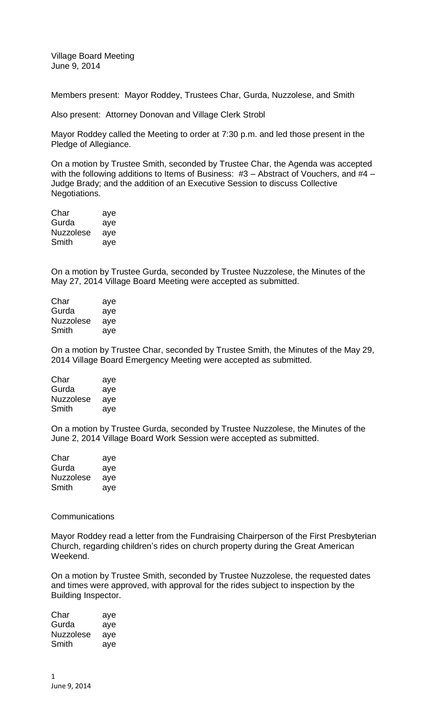Village Board Meeting June 9, 2014

Members present: Mayor Roddey, Trustees Char, Gurda, Nuzzolese, and Smith

Also present: Attorney Donovan and Village Clerk Strobl

Mayor Roddey called the Meeting to order at 7:30 p.m. and led those present in the Pledge of Allegiance.

On a motion by Trustee Smith, seconded by Trustee Char, the Agenda was accepted with the following additions to Items of Business: #3 – Abstract of Vouchers, and #4 – Judge Brady; and the addition of an Executive Session to discuss Collective Negotiations.

| Char             | aye |
|------------------|-----|
| Gurda            | aye |
| <b>Nuzzolese</b> | aye |
| Smith            | aye |

On a motion by Trustee Gurda, seconded by Trustee Nuzzolese, the Minutes of the May 27, 2014 Village Board Meeting were accepted as submitted.

| Char      | aye |
|-----------|-----|
| Gurda     | aye |
| Nuzzolese | ave |
| Smith     | aye |

On a motion by Trustee Char, seconded by Trustee Smith, the Minutes of the May 29, 2014 Village Board Emergency Meeting were accepted as submitted.

| Char      | aye |
|-----------|-----|
| Gurda     | aye |
| Nuzzolese | aye |
| Smith     | aye |

On a motion by Trustee Gurda, seconded by Trustee Nuzzolese, the Minutes of the June 2, 2014 Village Board Work Session were accepted as submitted.

| Char             | aye |
|------------------|-----|
| Gurda            | aye |
| <b>Nuzzolese</b> | ave |
| Smith            | ave |

## **Communications**

Mayor Roddey read a letter from the Fundraising Chairperson of the First Presbyterian Church, regarding children's rides on church property during the Great American Weekend.

On a motion by Trustee Smith, seconded by Trustee Nuzzolese, the requested dates and times were approved, with approval for the rides subject to inspection by the Building Inspector.

| Char      | aye |
|-----------|-----|
| Gurda     | aye |
| Nuzzolese | aye |
| Smith     | aye |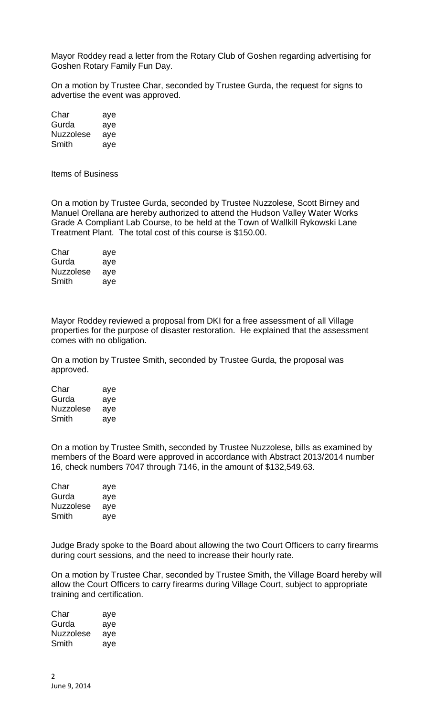Mayor Roddey read a letter from the Rotary Club of Goshen regarding advertising for Goshen Rotary Family Fun Day.

On a motion by Trustee Char, seconded by Trustee Gurda, the request for signs to advertise the event was approved.

| Char             | aye |
|------------------|-----|
| Gurda            | aye |
| <b>Nuzzolese</b> | aye |
| Smith            | aye |

Items of Business

On a motion by Trustee Gurda, seconded by Trustee Nuzzolese, Scott Birney and Manuel Orellana are hereby authorized to attend the Hudson Valley Water Works Grade A Compliant Lab Course, to be held at the Town of Wallkill Rykowski Lane Treatment Plant. The total cost of this course is \$150.00.

| Char      | aye |
|-----------|-----|
| Gurda     | aye |
| Nuzzolese | aye |
| Smith     | aye |

Mayor Roddey reviewed a proposal from DKI for a free assessment of all Village properties for the purpose of disaster restoration. He explained that the assessment comes with no obligation.

On a motion by Trustee Smith, seconded by Trustee Gurda, the proposal was approved.

| Char      | aye |
|-----------|-----|
| Gurda     | aye |
| Nuzzolese | aye |
| Smith     | aye |

On a motion by Trustee Smith, seconded by Trustee Nuzzolese, bills as examined by members of the Board were approved in accordance with Abstract 2013/2014 number 16, check numbers 7047 through 7146, in the amount of \$132,549.63.

| Char             | aye |
|------------------|-----|
| Gurda            | aye |
| <b>Nuzzolese</b> | aye |
| Smith            | aye |

Judge Brady spoke to the Board about allowing the two Court Officers to carry firearms during court sessions, and the need to increase their hourly rate.

On a motion by Trustee Char, seconded by Trustee Smith, the Village Board hereby will allow the Court Officers to carry firearms during Village Court, subject to appropriate training and certification.

Char aye Gurda aye Nuzzolese aye Smith aye